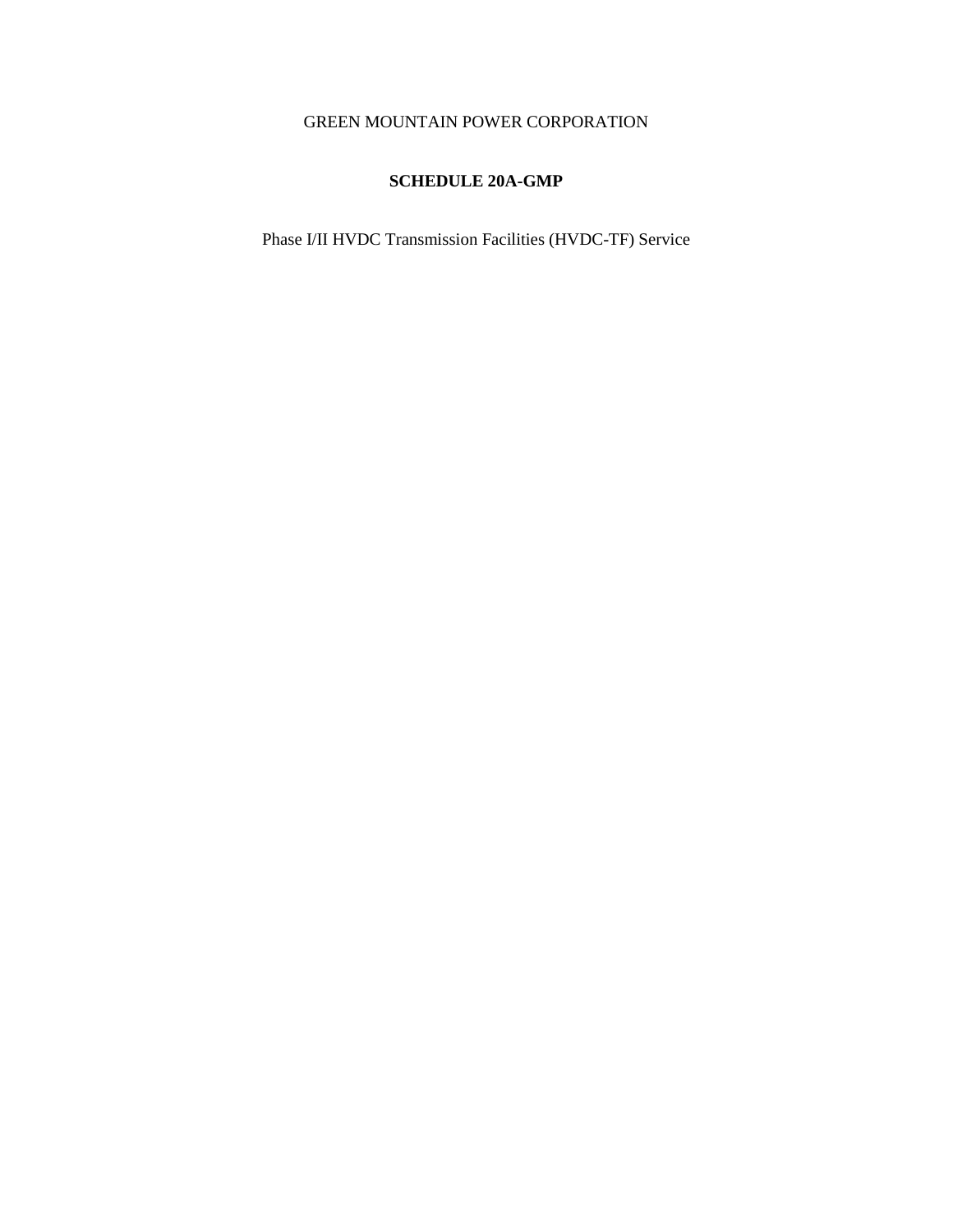# GREEN MOUNTAIN POWER CORPORATION

# **SCHEDULE 20A-GMP**

Phase I/II HVDC Transmission Facilities (HVDC-TF) Service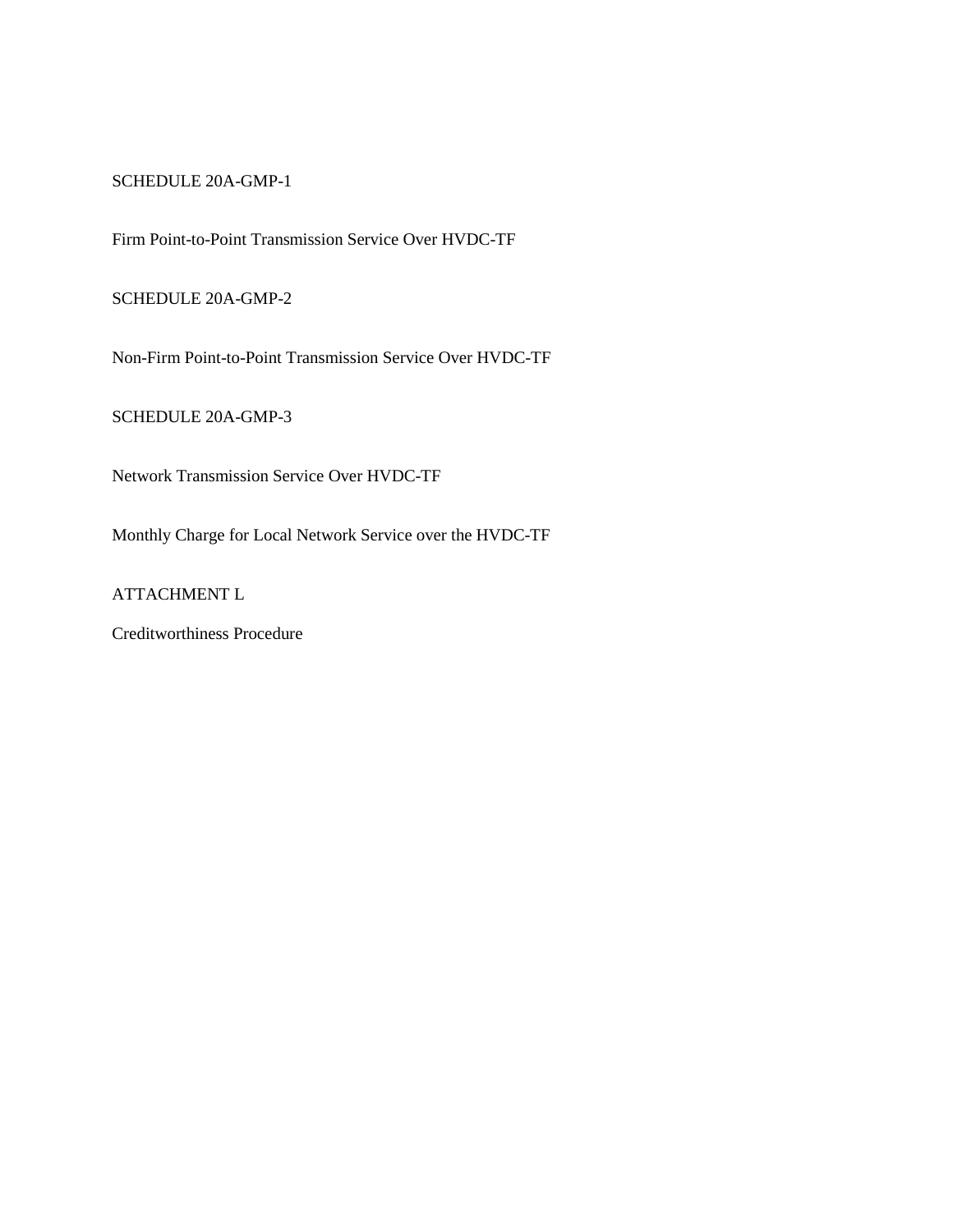SCHEDULE 20A-GMP-1

Firm Point-to-Point Transmission Service Over HVDC-TF

SCHEDULE 20A-GMP-2

Non-Firm Point-to-Point Transmission Service Over HVDC-TF

SCHEDULE 20A-GMP-3

Network Transmission Service Over HVDC-TF

Monthly Charge for Local Network Service over the HVDC-TF

ATTACHMENT L

Creditworthiness Procedure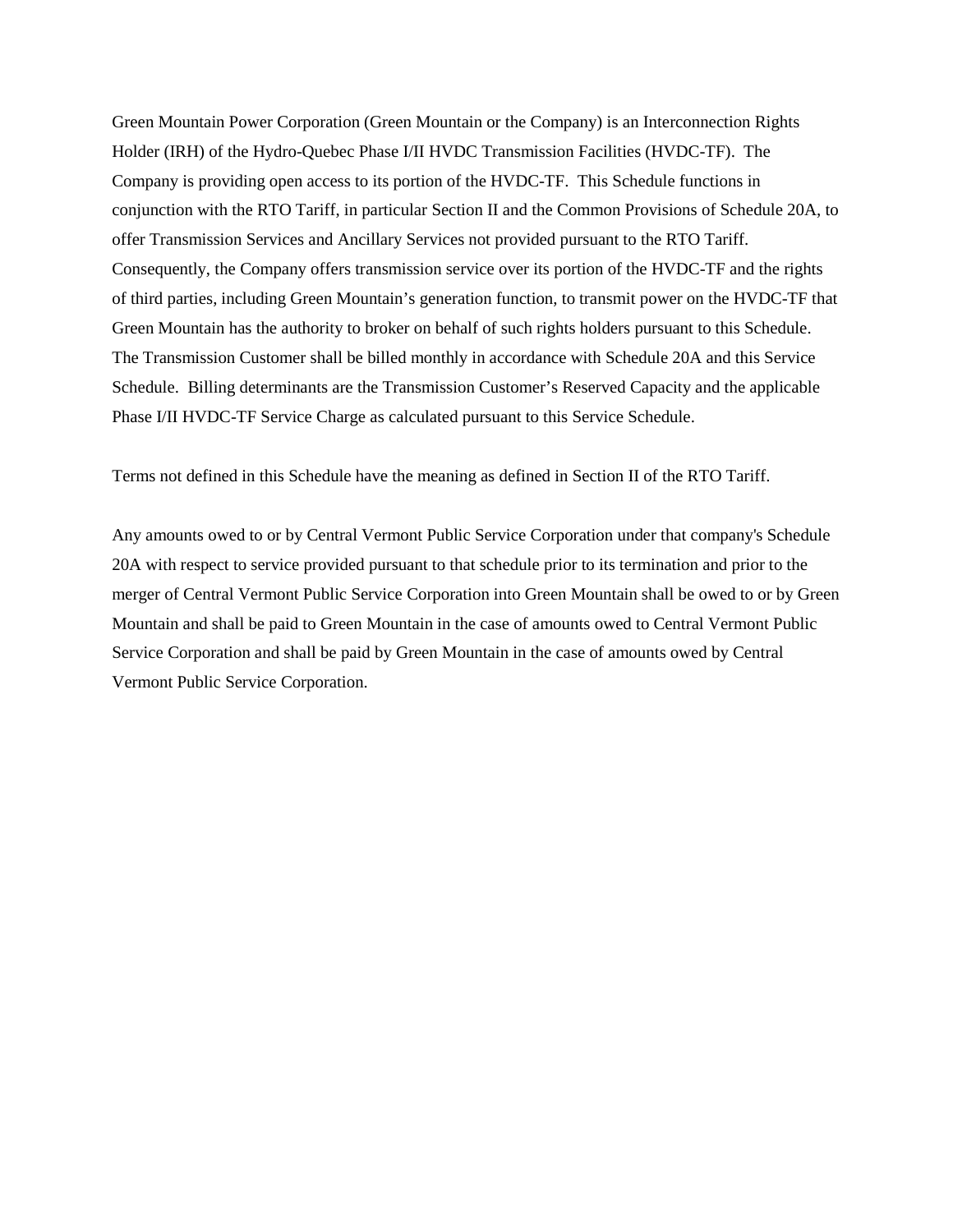Green Mountain Power Corporation (Green Mountain or the Company) is an Interconnection Rights Holder (IRH) of the Hydro-Quebec Phase I/II HVDC Transmission Facilities (HVDC-TF). The Company is providing open access to its portion of the HVDC-TF. This Schedule functions in conjunction with the RTO Tariff, in particular Section II and the Common Provisions of Schedule 20A, to offer Transmission Services and Ancillary Services not provided pursuant to the RTO Tariff. Consequently, the Company offers transmission service over its portion of the HVDC-TF and the rights of third parties, including Green Mountain's generation function, to transmit power on the HVDC-TF that Green Mountain has the authority to broker on behalf of such rights holders pursuant to this Schedule. The Transmission Customer shall be billed monthly in accordance with Schedule 20A and this Service Schedule. Billing determinants are the Transmission Customer's Reserved Capacity and the applicable Phase I/II HVDC-TF Service Charge as calculated pursuant to this Service Schedule.

Terms not defined in this Schedule have the meaning as defined in Section II of the RTO Tariff.

Any amounts owed to or by Central Vermont Public Service Corporation under that company's Schedule 20A with respect to service provided pursuant to that schedule prior to its termination and prior to the merger of Central Vermont Public Service Corporation into Green Mountain shall be owed to or by Green Mountain and shall be paid to Green Mountain in the case of amounts owed to Central Vermont Public Service Corporation and shall be paid by Green Mountain in the case of amounts owed by Central Vermont Public Service Corporation.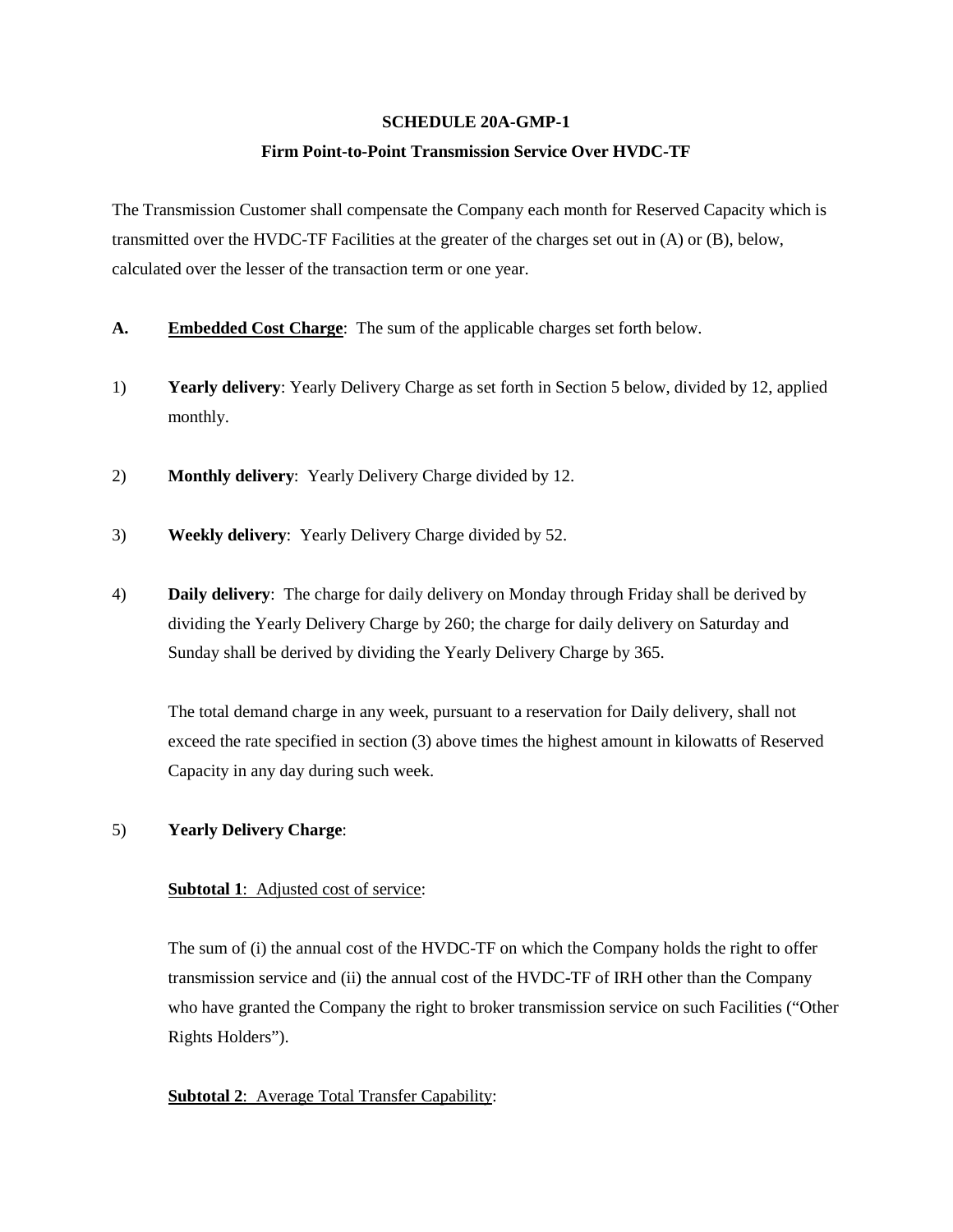#### **SCHEDULE 20A-GMP-1**

#### **Firm Point-to-Point Transmission Service Over HVDC-TF**

The Transmission Customer shall compensate the Company each month for Reserved Capacity which is transmitted over the HVDC-TF Facilities at the greater of the charges set out in (A) or (B), below, calculated over the lesser of the transaction term or one year.

- **A. Embedded Cost Charge**: The sum of the applicable charges set forth below.
- 1) **Yearly delivery**: Yearly Delivery Charge as set forth in Section 5 below, divided by 12, applied monthly.
- 2) **Monthly delivery**: Yearly Delivery Charge divided by 12.
- 3) **Weekly delivery**: Yearly Delivery Charge divided by 52.
- 4) **Daily delivery**: The charge for daily delivery on Monday through Friday shall be derived by dividing the Yearly Delivery Charge by 260; the charge for daily delivery on Saturday and Sunday shall be derived by dividing the Yearly Delivery Charge by 365.

The total demand charge in any week, pursuant to a reservation for Daily delivery, shall not exceed the rate specified in section (3) above times the highest amount in kilowatts of Reserved Capacity in any day during such week.

## 5) **Yearly Delivery Charge**:

## **Subtotal 1:** Adjusted cost of service:

The sum of (i) the annual cost of the HVDC-TF on which the Company holds the right to offer transmission service and (ii) the annual cost of the HVDC-TF of IRH other than the Company who have granted the Company the right to broker transmission service on such Facilities ("Other Rights Holders").

## **Subtotal 2**: Average Total Transfer Capability: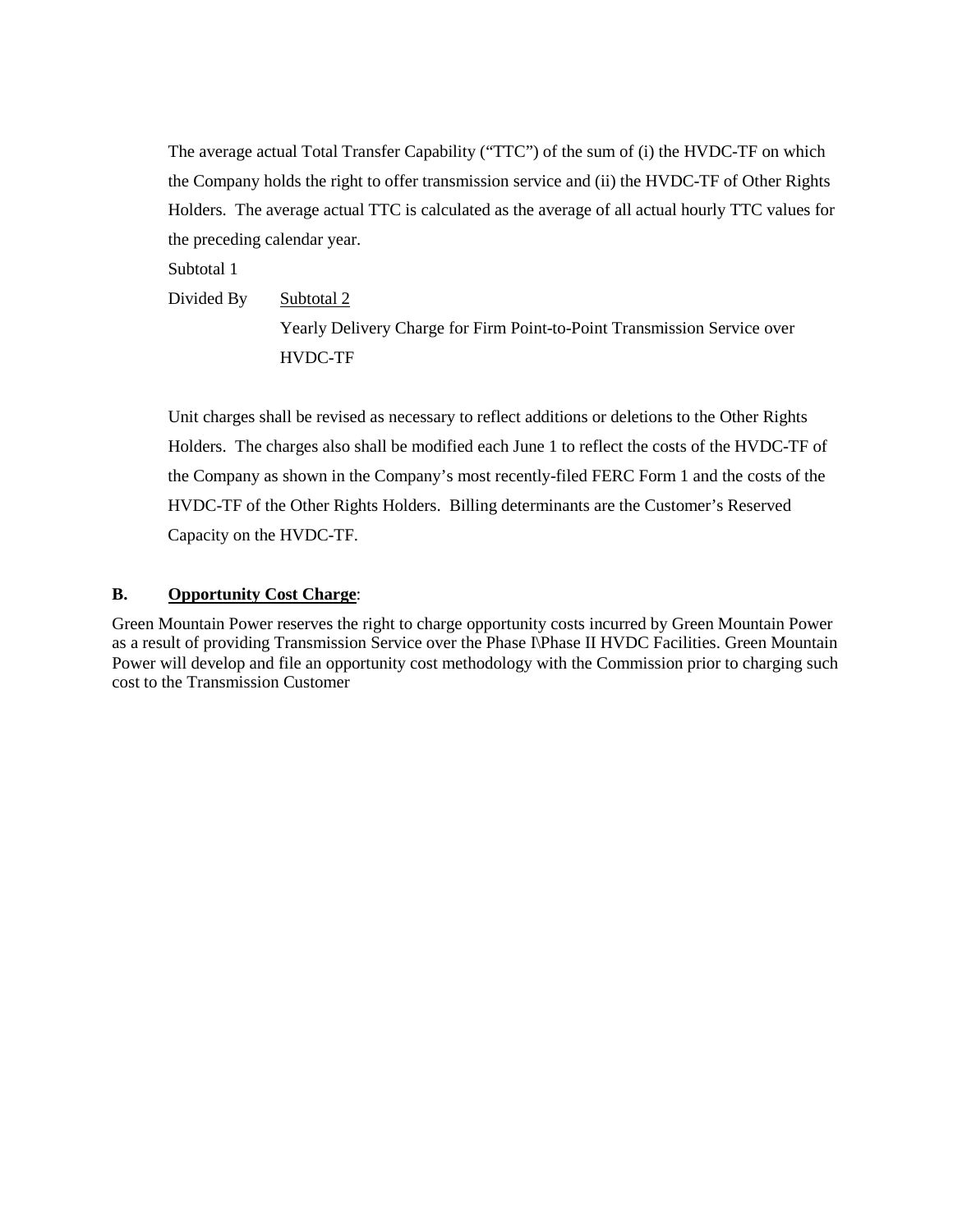The average actual Total Transfer Capability ("TTC") of the sum of (i) the HVDC-TF on which the Company holds the right to offer transmission service and (ii) the HVDC-TF of Other Rights Holders. The average actual TTC is calculated as the average of all actual hourly TTC values for the preceding calendar year.

Subtotal 1

Divided By Subtotal 2

Yearly Delivery Charge for Firm Point-to-Point Transmission Service over HVDC-TF

Unit charges shall be revised as necessary to reflect additions or deletions to the Other Rights Holders. The charges also shall be modified each June 1 to reflect the costs of the HVDC-TF of the Company as shown in the Company's most recently-filed FERC Form 1 and the costs of the HVDC-TF of the Other Rights Holders. Billing determinants are the Customer's Reserved Capacity on the HVDC-TF.

## **B. Opportunity Cost Charge**:

Green Mountain Power reserves the right to charge opportunity costs incurred by Green Mountain Power as a result of providing Transmission Service over the Phase I\Phase II HVDC Facilities. Green Mountain Power will develop and file an opportunity cost methodology with the Commission prior to charging such cost to the Transmission Customer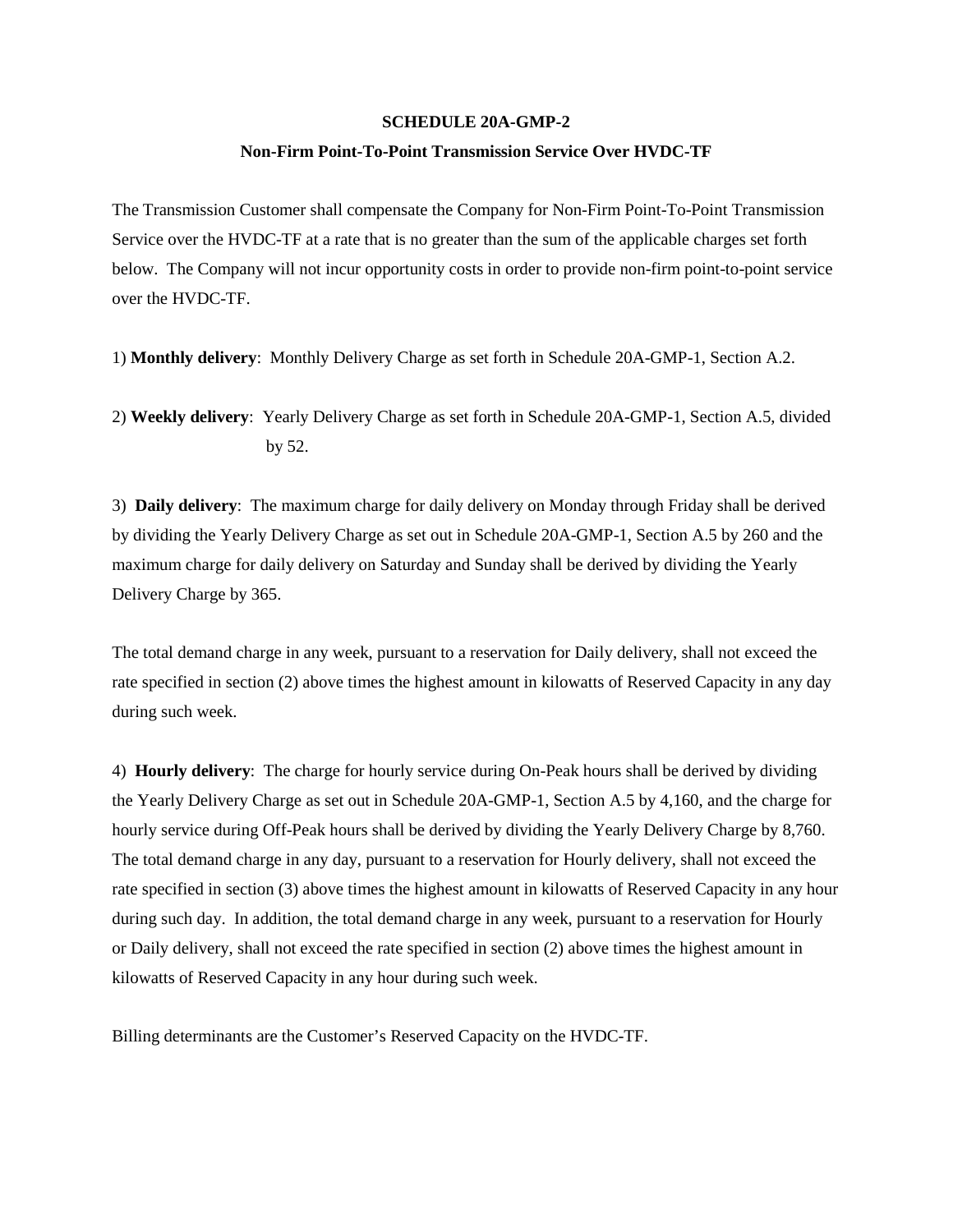#### **SCHEDULE 20A-GMP-2**

#### **Non-Firm Point-To-Point Transmission Service Over HVDC-TF**

The Transmission Customer shall compensate the Company for Non-Firm Point-To-Point Transmission Service over the HVDC-TF at a rate that is no greater than the sum of the applicable charges set forth below. The Company will not incur opportunity costs in order to provide non-firm point-to-point service over the HVDC-TF.

1) **Monthly delivery**: Monthly Delivery Charge as set forth in Schedule 20A-GMP-1, Section A.2.

2) **Weekly delivery**: Yearly Delivery Charge as set forth in Schedule 20A-GMP-1, Section A.5, divided by 52.

3) **Daily delivery**: The maximum charge for daily delivery on Monday through Friday shall be derived by dividing the Yearly Delivery Charge as set out in Schedule 20A-GMP-1, Section A.5 by 260 and the maximum charge for daily delivery on Saturday and Sunday shall be derived by dividing the Yearly Delivery Charge by 365.

The total demand charge in any week, pursuant to a reservation for Daily delivery, shall not exceed the rate specified in section (2) above times the highest amount in kilowatts of Reserved Capacity in any day during such week.

4) **Hourly delivery**: The charge for hourly service during On-Peak hours shall be derived by dividing the Yearly Delivery Charge as set out in Schedule 20A-GMP-1, Section A.5 by 4,160, and the charge for hourly service during Off-Peak hours shall be derived by dividing the Yearly Delivery Charge by 8,760. The total demand charge in any day, pursuant to a reservation for Hourly delivery, shall not exceed the rate specified in section (3) above times the highest amount in kilowatts of Reserved Capacity in any hour during such day. In addition, the total demand charge in any week, pursuant to a reservation for Hourly or Daily delivery, shall not exceed the rate specified in section (2) above times the highest amount in kilowatts of Reserved Capacity in any hour during such week.

Billing determinants are the Customer's Reserved Capacity on the HVDC-TF.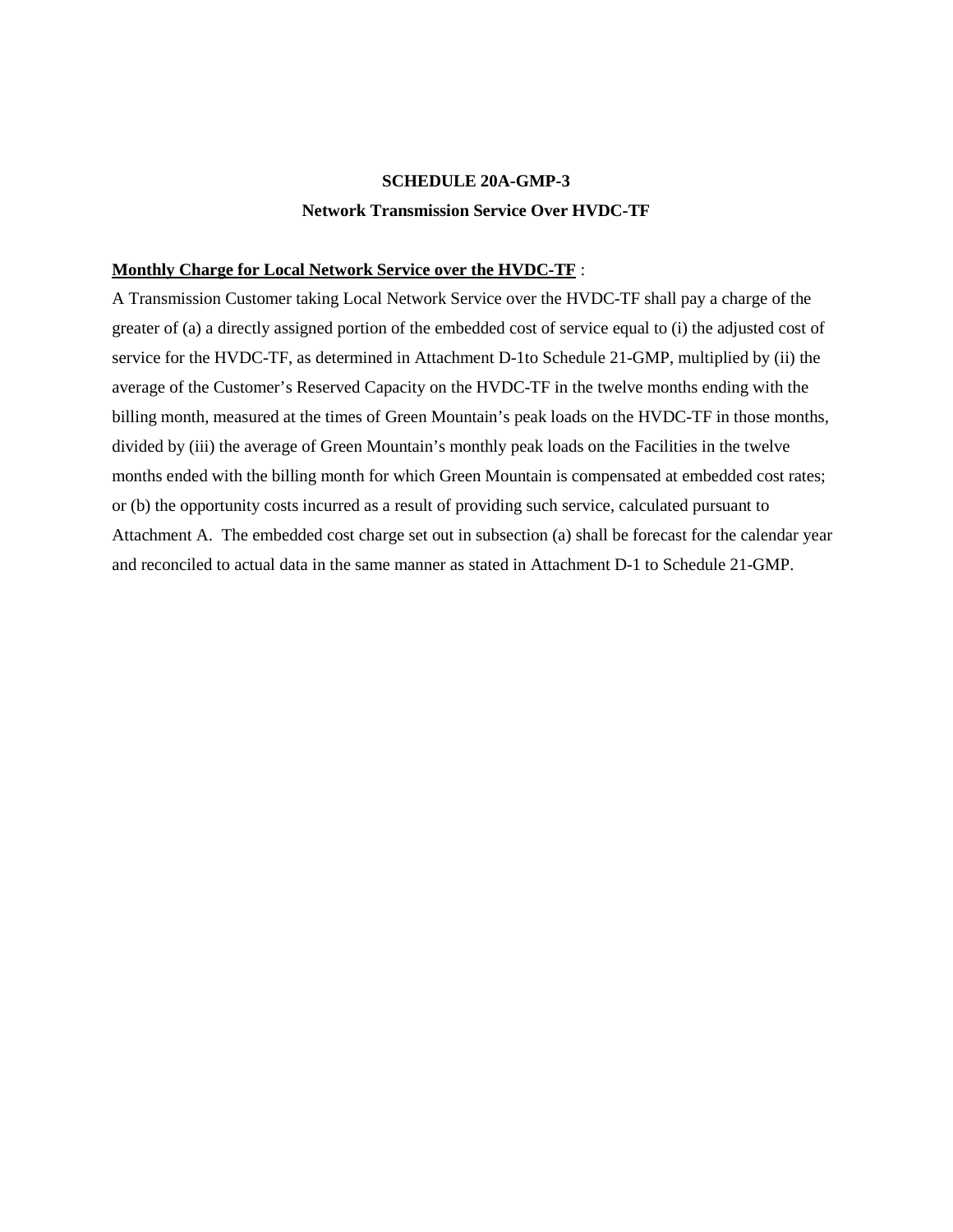# **SCHEDULE 20A-GMP-3 Network Transmission Service Over HVDC-TF**

#### **Monthly Charge for Local Network Service over the HVDC-TF** :

A Transmission Customer taking Local Network Service over the HVDC-TF shall pay a charge of the greater of (a) a directly assigned portion of the embedded cost of service equal to (i) the adjusted cost of service for the HVDC-TF, as determined in Attachment D-1to Schedule 21-GMP, multiplied by (ii) the average of the Customer's Reserved Capacity on the HVDC-TF in the twelve months ending with the billing month, measured at the times of Green Mountain's peak loads on the HVDC-TF in those months, divided by (iii) the average of Green Mountain's monthly peak loads on the Facilities in the twelve months ended with the billing month for which Green Mountain is compensated at embedded cost rates; or (b) the opportunity costs incurred as a result of providing such service, calculated pursuant to Attachment A. The embedded cost charge set out in subsection (a) shall be forecast for the calendar year and reconciled to actual data in the same manner as stated in Attachment D-1 to Schedule 21-GMP.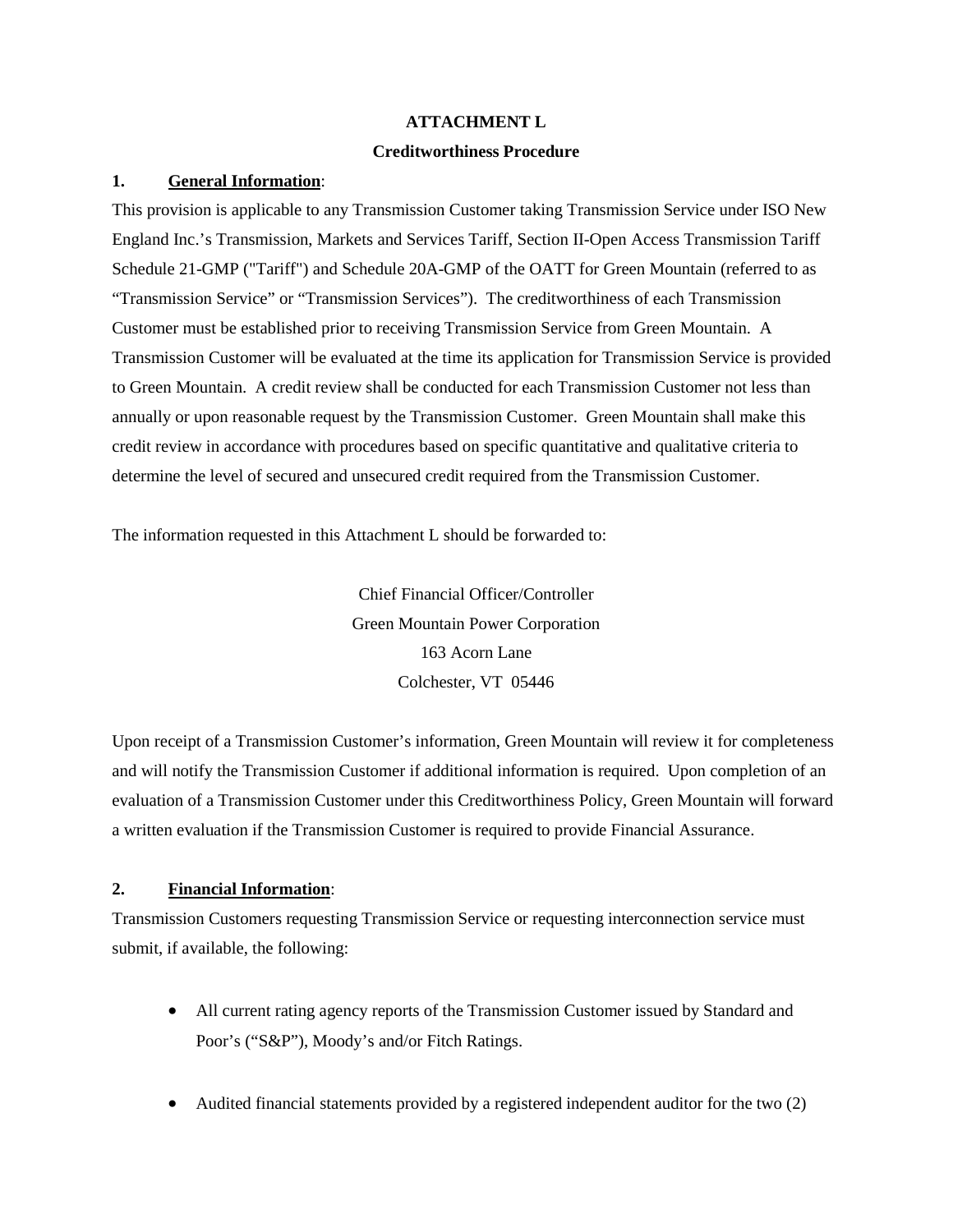#### **ATTACHMENT L**

#### **Creditworthiness Procedure**

#### **1. General Information**:

This provision is applicable to any Transmission Customer taking Transmission Service under ISO New England Inc.'s Transmission, Markets and Services Tariff, Section II-Open Access Transmission Tariff Schedule 21-GMP ("Tariff") and Schedule 20A-GMP of the OATT for Green Mountain (referred to as "Transmission Service" or "Transmission Services"). The creditworthiness of each Transmission Customer must be established prior to receiving Transmission Service from Green Mountain. A Transmission Customer will be evaluated at the time its application for Transmission Service is provided to Green Mountain. A credit review shall be conducted for each Transmission Customer not less than annually or upon reasonable request by the Transmission Customer. Green Mountain shall make this credit review in accordance with procedures based on specific quantitative and qualitative criteria to determine the level of secured and unsecured credit required from the Transmission Customer.

The information requested in this Attachment L should be forwarded to:

Chief Financial Officer/Controller Green Mountain Power Corporation 163 Acorn Lane Colchester, VT 05446

Upon receipt of a Transmission Customer's information, Green Mountain will review it for completeness and will notify the Transmission Customer if additional information is required. Upon completion of an evaluation of a Transmission Customer under this Creditworthiness Policy, Green Mountain will forward a written evaluation if the Transmission Customer is required to provide Financial Assurance.

## **2. Financial Information**:

Transmission Customers requesting Transmission Service or requesting interconnection service must submit, if available, the following:

- All current rating agency reports of the Transmission Customer issued by Standard and Poor's ("S&P"), Moody's and/or Fitch Ratings.
- Audited financial statements provided by a registered independent auditor for the two (2)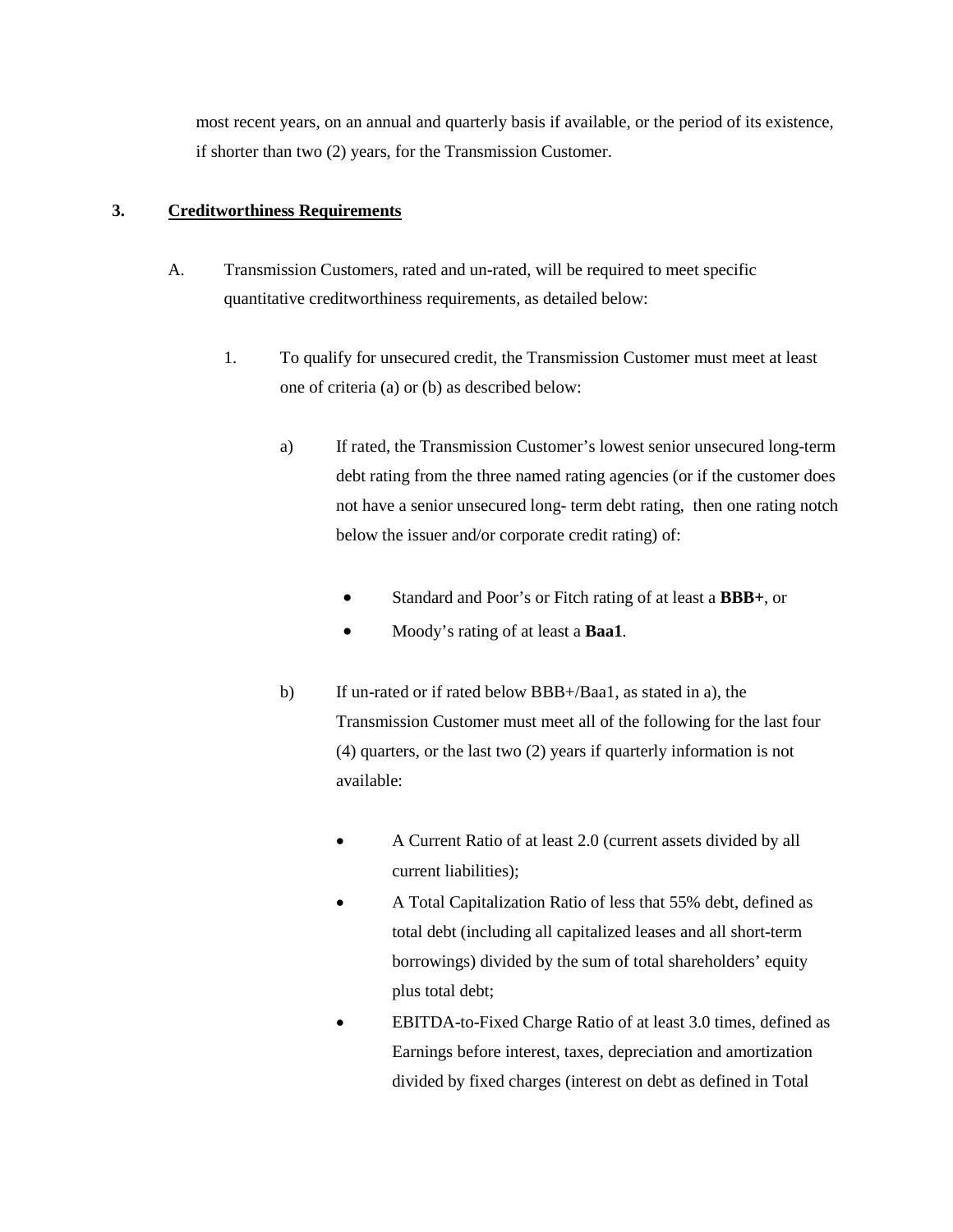most recent years, on an annual and quarterly basis if available, or the period of its existence, if shorter than two (2) years, for the Transmission Customer.

# **3. Creditworthiness Requirements**

- A. Transmission Customers, rated and un-rated, will be required to meet specific quantitative creditworthiness requirements, as detailed below:
	- 1. To qualify for unsecured credit, the Transmission Customer must meet at least one of criteria (a) or (b) as described below:
		- a) If rated, the Transmission Customer's lowest senior unsecured long-term debt rating from the three named rating agencies (or if the customer does not have a senior unsecured long- term debt rating, then one rating notch below the issuer and/or corporate credit rating) of:
			- Standard and Poor's or Fitch rating of at least a **BBB+**, or
			- Moody's rating of at least a **Baa1**.
		- b) If un-rated or if rated below BBB+/Baa1, as stated in a), the Transmission Customer must meet all of the following for the last four (4) quarters, or the last two (2) years if quarterly information is not available:
			- A Current Ratio of at least 2.0 (current assets divided by all current liabilities);
			- A Total Capitalization Ratio of less that 55% debt, defined as total debt (including all capitalized leases and all short-term borrowings) divided by the sum of total shareholders' equity plus total debt;
			- EBITDA-to-Fixed Charge Ratio of at least 3.0 times, defined as Earnings before interest, taxes, depreciation and amortization divided by fixed charges (interest on debt as defined in Total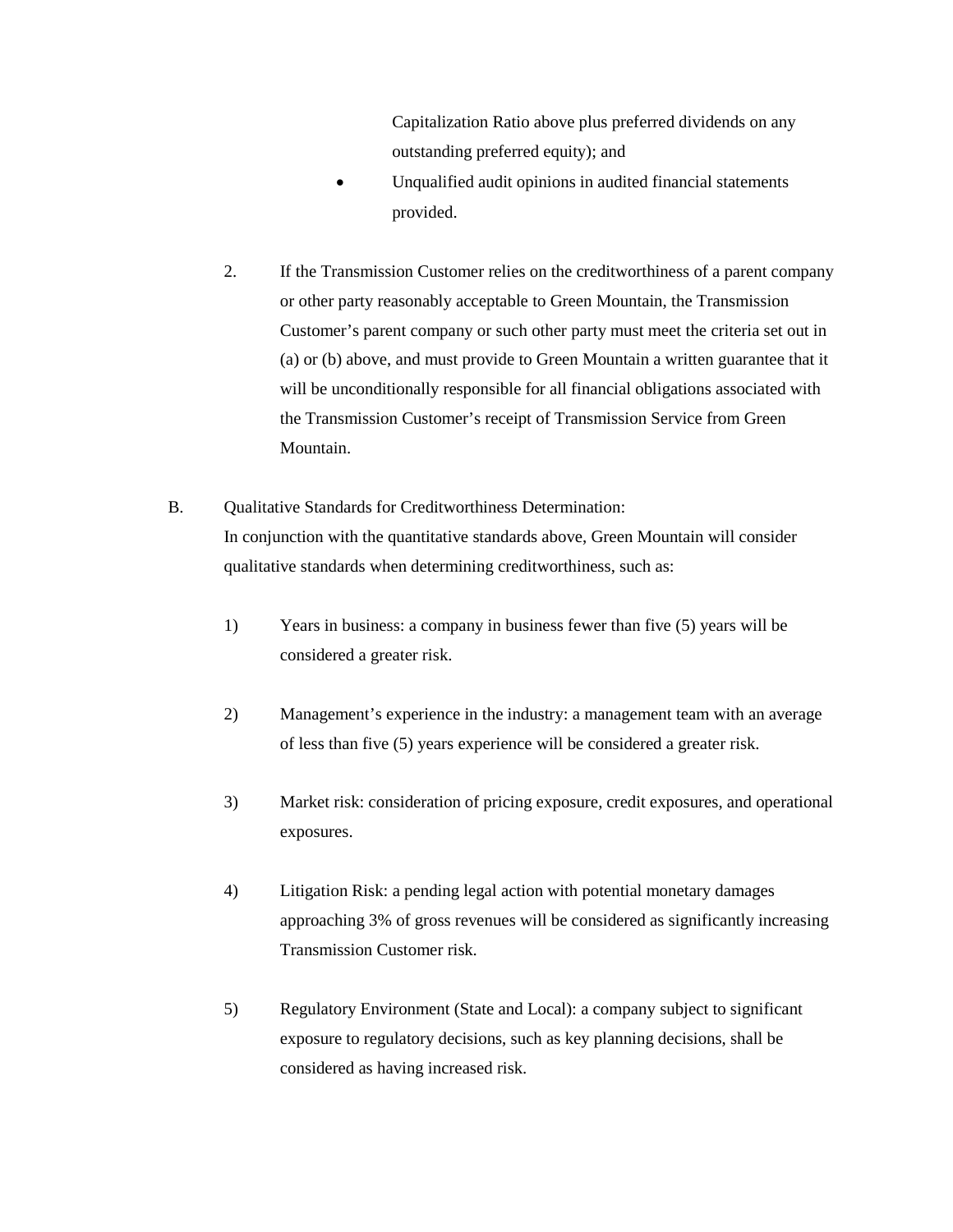Capitalization Ratio above plus preferred dividends on any outstanding preferred equity); and

- Unqualified audit opinions in audited financial statements provided.
- 2. If the Transmission Customer relies on the creditworthiness of a parent company or other party reasonably acceptable to Green Mountain, the Transmission Customer's parent company or such other party must meet the criteria set out in (a) or (b) above, and must provide to Green Mountain a written guarantee that it will be unconditionally responsible for all financial obligations associated with the Transmission Customer's receipt of Transmission Service from Green Mountain.
- B. Qualitative Standards for Creditworthiness Determination: In conjunction with the quantitative standards above, Green Mountain will consider qualitative standards when determining creditworthiness, such as:
	- 1) Years in business: a company in business fewer than five (5) years will be considered a greater risk.
	- 2) Management's experience in the industry: a management team with an average of less than five (5) years experience will be considered a greater risk.
	- 3) Market risk: consideration of pricing exposure, credit exposures, and operational exposures.
	- 4) Litigation Risk: a pending legal action with potential monetary damages approaching 3% of gross revenues will be considered as significantly increasing Transmission Customer risk.
	- 5) Regulatory Environment (State and Local): a company subject to significant exposure to regulatory decisions, such as key planning decisions, shall be considered as having increased risk.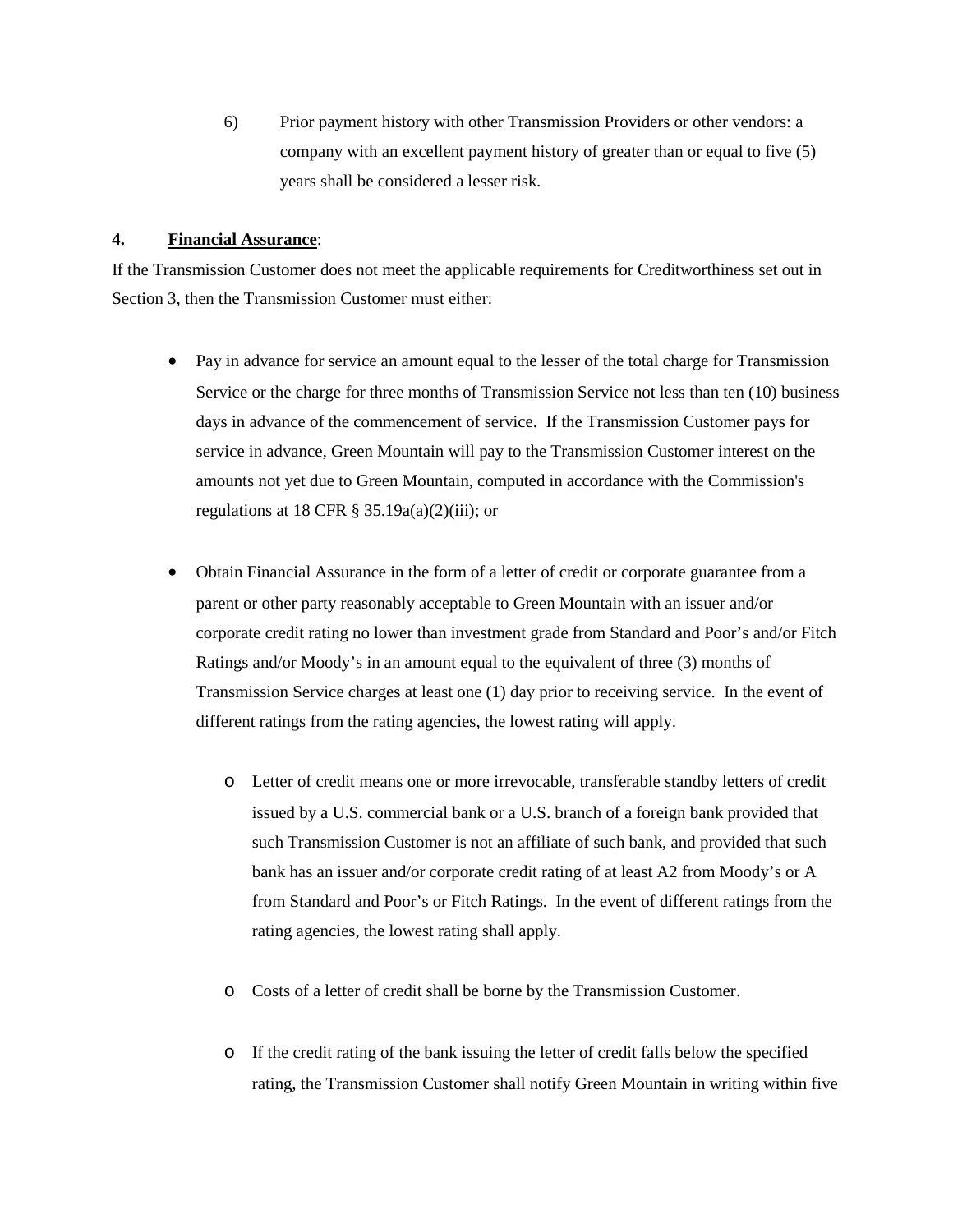6) Prior payment history with other Transmission Providers or other vendors: a company with an excellent payment history of greater than or equal to five (5) years shall be considered a lesser risk.

#### **4. Financial Assurance**:

If the Transmission Customer does not meet the applicable requirements for Creditworthiness set out in Section 3, then the Transmission Customer must either:

- Pay in advance for service an amount equal to the lesser of the total charge for Transmission Service or the charge for three months of Transmission Service not less than ten (10) business days in advance of the commencement of service. If the Transmission Customer pays for service in advance, Green Mountain will pay to the Transmission Customer interest on the amounts not yet due to Green Mountain, computed in accordance with the Commission's regulations at 18 CFR  $\S$  35.19a(a)(2)(iii); or
- Obtain Financial Assurance in the form of a letter of credit or corporate guarantee from a parent or other party reasonably acceptable to Green Mountain with an issuer and/or corporate credit rating no lower than investment grade from Standard and Poor's and/or Fitch Ratings and/or Moody's in an amount equal to the equivalent of three (3) months of Transmission Service charges at least one (1) day prior to receiving service. In the event of different ratings from the rating agencies, the lowest rating will apply.
	- o Letter of credit means one or more irrevocable, transferable standby letters of credit issued by a U.S. commercial bank or a U.S. branch of a foreign bank provided that such Transmission Customer is not an affiliate of such bank, and provided that such bank has an issuer and/or corporate credit rating of at least A2 from Moody's or A from Standard and Poor's or Fitch Ratings. In the event of different ratings from the rating agencies, the lowest rating shall apply.
	- o Costs of a letter of credit shall be borne by the Transmission Customer.
	- o If the credit rating of the bank issuing the letter of credit falls below the specified rating, the Transmission Customer shall notify Green Mountain in writing within five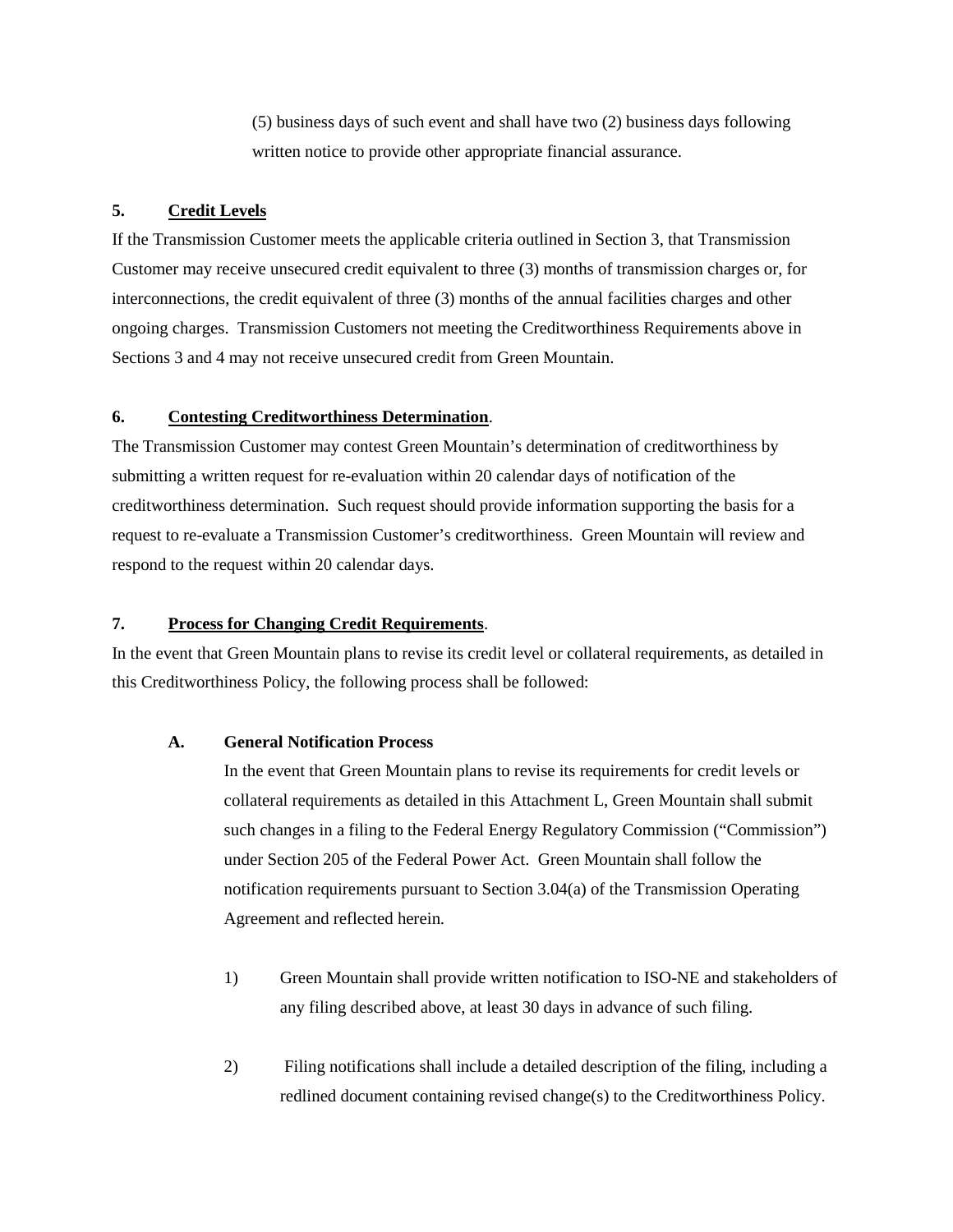(5) business days of such event and shall have two (2) business days following written notice to provide other appropriate financial assurance.

# **5. Credit Levels**

If the Transmission Customer meets the applicable criteria outlined in Section 3, that Transmission Customer may receive unsecured credit equivalent to three (3) months of transmission charges or, for interconnections, the credit equivalent of three (3) months of the annual facilities charges and other ongoing charges. Transmission Customers not meeting the Creditworthiness Requirements above in Sections 3 and 4 may not receive unsecured credit from Green Mountain.

## **6. Contesting Creditworthiness Determination**.

The Transmission Customer may contest Green Mountain's determination of creditworthiness by submitting a written request for re-evaluation within 20 calendar days of notification of the creditworthiness determination. Such request should provide information supporting the basis for a request to re-evaluate a Transmission Customer's creditworthiness. Green Mountain will review and respond to the request within 20 calendar days.

## **7. Process for Changing Credit Requirements**.

In the event that Green Mountain plans to revise its credit level or collateral requirements, as detailed in this Creditworthiness Policy, the following process shall be followed:

#### **A. General Notification Process**

In the event that Green Mountain plans to revise its requirements for credit levels or collateral requirements as detailed in this Attachment L, Green Mountain shall submit such changes in a filing to the Federal Energy Regulatory Commission ("Commission") under Section 205 of the Federal Power Act. Green Mountain shall follow the notification requirements pursuant to Section 3.04(a) of the Transmission Operating Agreement and reflected herein.

- 1) Green Mountain shall provide written notification to ISO-NE and stakeholders of any filing described above, at least 30 days in advance of such filing.
- 2) Filing notifications shall include a detailed description of the filing, including a redlined document containing revised change(s) to the Creditworthiness Policy.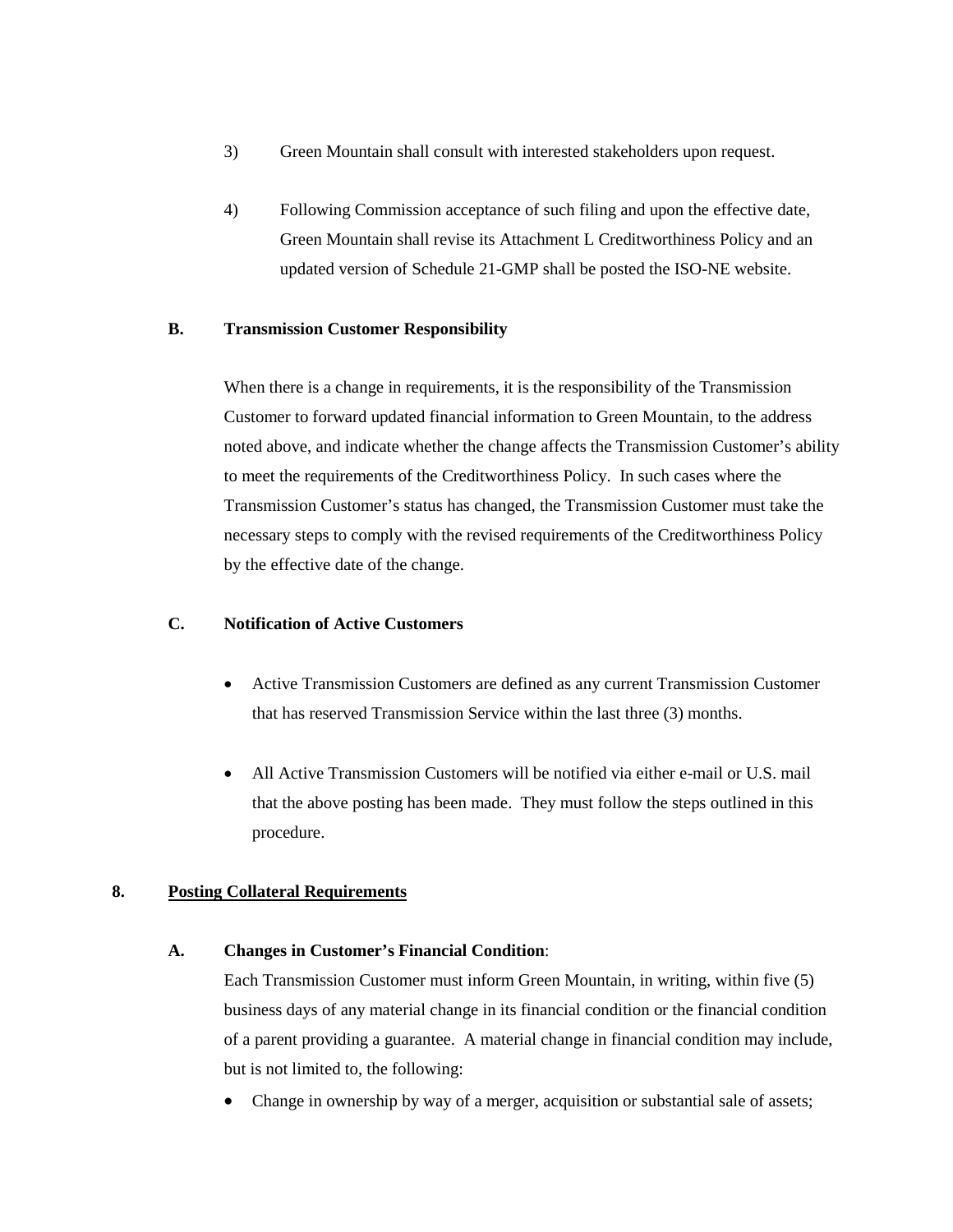- 3) Green Mountain shall consult with interested stakeholders upon request.
- 4) Following Commission acceptance of such filing and upon the effective date, Green Mountain shall revise its Attachment L Creditworthiness Policy and an updated version of Schedule 21-GMP shall be posted the ISO-NE website.

## **B. Transmission Customer Responsibility**

When there is a change in requirements, it is the responsibility of the Transmission Customer to forward updated financial information to Green Mountain, to the address noted above, and indicate whether the change affects the Transmission Customer's ability to meet the requirements of the Creditworthiness Policy. In such cases where the Transmission Customer's status has changed, the Transmission Customer must take the necessary steps to comply with the revised requirements of the Creditworthiness Policy by the effective date of the change.

## **C. Notification of Active Customers**

- Active Transmission Customers are defined as any current Transmission Customer that has reserved Transmission Service within the last three (3) months.
- All Active Transmission Customers will be notified via either e-mail or U.S. mail that the above posting has been made. They must follow the steps outlined in this procedure.

## **8. Posting Collateral Requirements**

## **A. Changes in Customer's Financial Condition**:

Each Transmission Customer must inform Green Mountain, in writing, within five (5) business days of any material change in its financial condition or the financial condition of a parent providing a guarantee. A material change in financial condition may include, but is not limited to, the following:

• Change in ownership by way of a merger, acquisition or substantial sale of assets;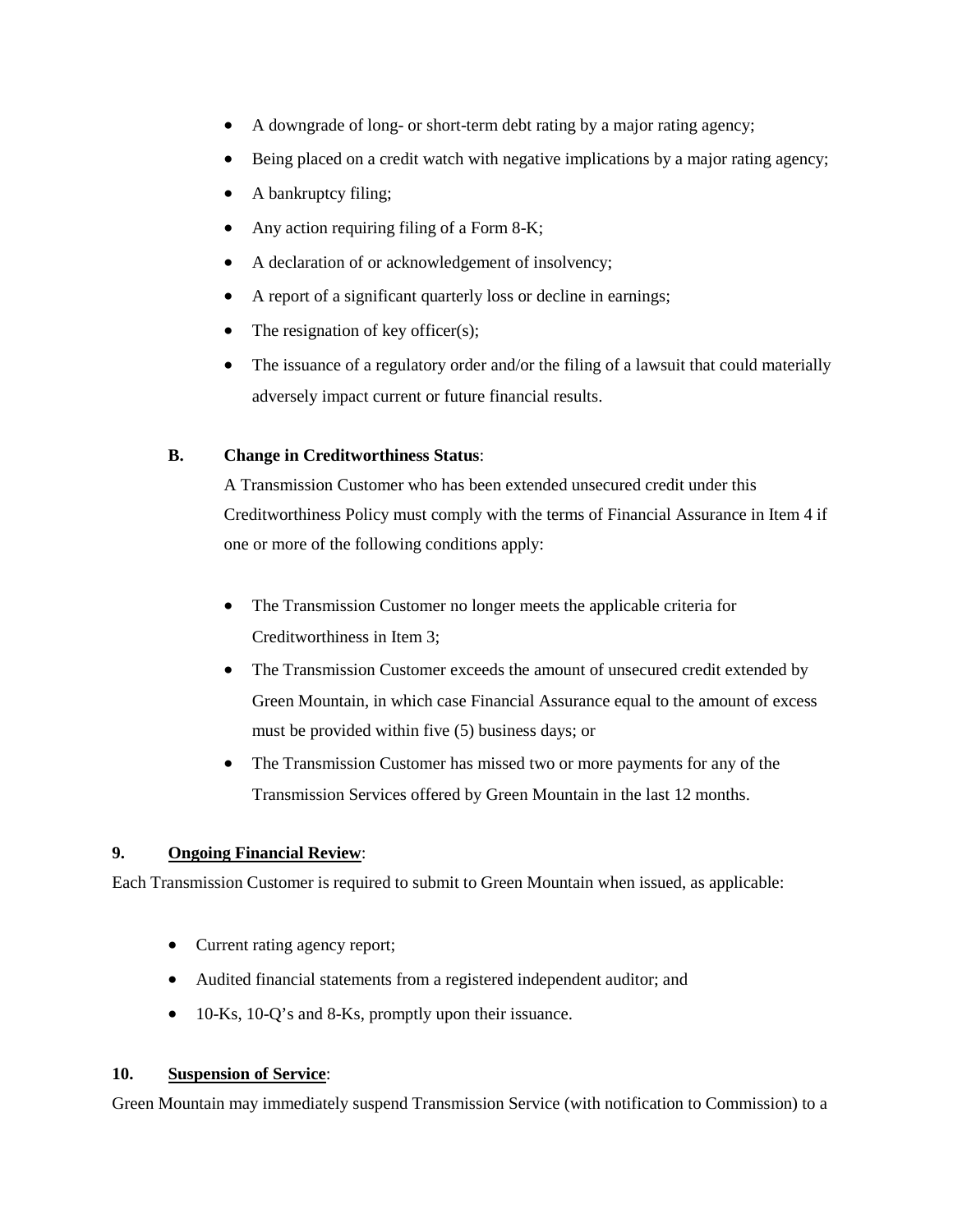- A downgrade of long- or short-term debt rating by a major rating agency;
- Being placed on a credit watch with negative implications by a major rating agency;
- A bankruptcy filing;
- Any action requiring filing of a Form 8-K;
- A declaration of or acknowledgement of insolvency;
- A report of a significant quarterly loss or decline in earnings;
- The resignation of key officer(s);
- The issuance of a regulatory order and/or the filing of a lawsuit that could materially adversely impact current or future financial results.

# **B. Change in Creditworthiness Status**:

A Transmission Customer who has been extended unsecured credit under this Creditworthiness Policy must comply with the terms of Financial Assurance in Item 4 if one or more of the following conditions apply:

- The Transmission Customer no longer meets the applicable criteria for Creditworthiness in Item 3;
- The Transmission Customer exceeds the amount of unsecured credit extended by Green Mountain, in which case Financial Assurance equal to the amount of excess must be provided within five (5) business days; or
- The Transmission Customer has missed two or more payments for any of the Transmission Services offered by Green Mountain in the last 12 months.

## **9. Ongoing Financial Review**:

Each Transmission Customer is required to submit to Green Mountain when issued, as applicable:

- Current rating agency report;
- Audited financial statements from a registered independent auditor; and
- 10-Ks, 10-Q's and 8-Ks, promptly upon their issuance.

## **10. Suspension of Service**:

Green Mountain may immediately suspend Transmission Service (with notification to Commission) to a